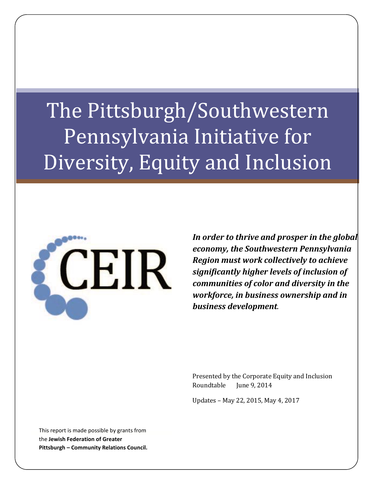# The Pittsburgh/Southwestern Pennsylvania Initiative for Diversity, Equity and Inclusion



*In order to thrive and prosper in the global economy, the Southwestern Pennsylvania Region must work collectively to achieve significantly higher levels of inclusion of communities of color and diversity in the workforce, in business ownership and in business development.*

Presented by the Corporate Equity and Inclusion Roundtable June 9, 2014

Updates – May 22, 2015, May 4, 2017

This report is made possible by grants from the **Jewish Federation of Greater Pittsburgh – Community Relations Council.**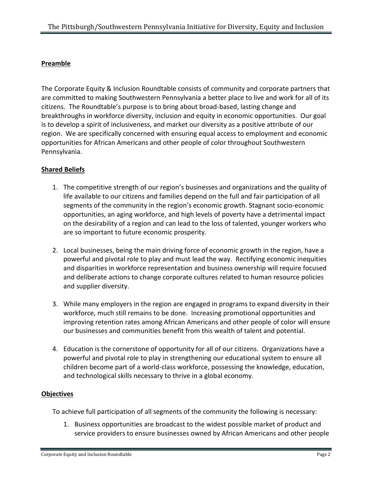## **Preamble**

The Corporate Equity & Inclusion Roundtable consists of community and corporate partners that are committed to making Southwestern Pennsylvania a better place to live and work for all of its citizens. The Roundtable's purpose is to bring about broad-based, lasting change and breakthroughs in workforce diversity, inclusion and equity in economic opportunities. Our goal is to develop a spirit of inclusiveness, and market our diversity as a positive attribute of our region. We are specifically concerned with ensuring equal access to employment and economic opportunities for African Americans and other people of color throughout Southwestern Pennsylvania.

### **Shared Beliefs**

- 1. The competitive strength of our region's businesses and organizations and the quality of life available to our citizens and families depend on the full and fair participation of all segments of the community in the region's economic growth. Stagnant socio-economic opportunities, an aging workforce, and high levels of poverty have a detrimental impact on the desirability of a region and can lead to the loss of talented, younger workers who are so important to future economic prosperity.
- 2. Local businesses, being the main driving force of economic growth in the region, have a powerful and pivotal role to play and must lead the way. Rectifying economic inequities and disparities in workforce representation and business ownership will require focused and deliberate actions to change corporate cultures related to human resource policies and supplier diversity.
- 3. While many employers in the region are engaged in programs to expand diversity in their workforce, much still remains to be done. Increasing promotional opportunities and improving retention rates among African Americans and other people of color will ensure our businesses and communities benefit from this wealth of talent and potential.
- 4. Education is the cornerstone of opportunity for all of our citizens. Organizations have a powerful and pivotal role to play in strengthening our educational system to ensure all children become part of a world-class workforce, possessing the knowledge, education, and technological skills necessary to thrive in a global economy.

### **Objectives**

To achieve full participation of all segments of the community the following is necessary:

1. Business opportunities are broadcast to the widest possible market of product and service providers to ensure businesses owned by African Americans and other people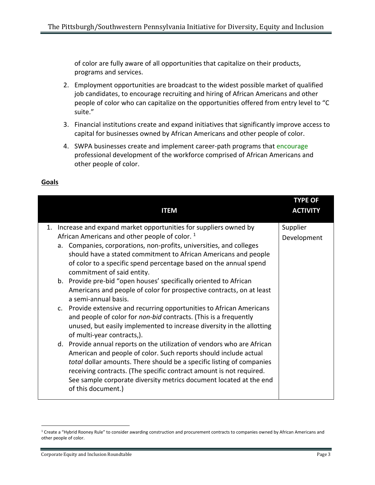of color are fully aware of all opportunities that capitalize on their products, programs and services.

- 2. Employment opportunities are broadcast to the widest possible market of qualified job candidates, to encourage recruiting and hiring of African Americans and other people of color who can capitalize on the opportunities offered from entry level to "C suite."
- 3. Financial institutions create and expand initiatives that significantly improve access to capital for businesses owned by African Americans and other people of color.
- 4. SWPA businesses create and implement career-path programs that encourage professional development of the workforce comprised of African Americans and other people of color.

| <b>ITEM</b>                                                                                                                                                                                                                                                                                                                                                                                                                                                                                                                                       | <b>TYPE OF</b><br><b>ACTIVITY</b> |
|---------------------------------------------------------------------------------------------------------------------------------------------------------------------------------------------------------------------------------------------------------------------------------------------------------------------------------------------------------------------------------------------------------------------------------------------------------------------------------------------------------------------------------------------------|-----------------------------------|
| 1. Increase and expand market opportunities for suppliers owned by<br>African Americans and other people of color. <sup>1</sup><br>a. Companies, corporations, non-profits, universities, and colleges<br>should have a stated commitment to African Americans and people<br>of color to a specific spend percentage based on the annual spend<br>commitment of said entity.<br>b. Provide pre-bid "open houses' specifically oriented to African<br>Americans and people of color for prospective contracts, on at least<br>a semi-annual basis. | Supplier<br>Development           |
| c. Provide extensive and recurring opportunities to African Americans<br>and people of color for non-bid contracts. (This is a frequently<br>unused, but easily implemented to increase diversity in the allotting<br>of multi-year contracts,).<br>d. Provide annual reports on the utilization of vendors who are African<br>American and people of color. Such reports should include actual<br>total dollar amounts. There should be a specific listing of companies<br>receiving contracts. (The specific contract amount is not required.   |                                   |
| See sample corporate diversity metrics document located at the end<br>of this document.)                                                                                                                                                                                                                                                                                                                                                                                                                                                          |                                   |

 $\overline{a}$ 

<sup>&</sup>lt;sup>1</sup> Create a "Hybrid Rooney Rule" to consider awarding construction and procurement contracts to companies owned by African Americans and other people of color.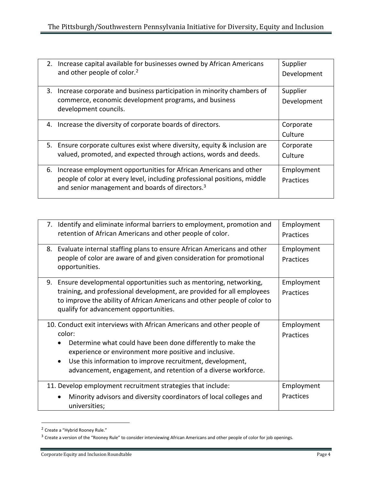|    | 2. Increase capital available for businesses owned by African Americans<br>and other people of color. <sup>2</sup>                                                                                           | Supplier<br>Development |
|----|--------------------------------------------------------------------------------------------------------------------------------------------------------------------------------------------------------------|-------------------------|
| 3. | Increase corporate and business participation in minority chambers of<br>commerce, economic development programs, and business<br>development councils.                                                      | Supplier<br>Development |
|    | 4. Increase the diversity of corporate boards of directors.                                                                                                                                                  | Corporate<br>Culture    |
|    | 5. Ensure corporate cultures exist where diversity, equity & inclusion are<br>valued, promoted, and expected through actions, words and deeds.                                                               | Corporate<br>Culture    |
| 6. | Increase employment opportunities for African Americans and other<br>people of color at every level, including professional positions, middle<br>and senior management and boards of directors. <sup>3</sup> | Employment<br>Practices |

|    | 7. Identify and eliminate informal barriers to employment, promotion and<br>retention of African Americans and other people of color.                                                                                                                                                                                                    | Employment<br>Practices |
|----|------------------------------------------------------------------------------------------------------------------------------------------------------------------------------------------------------------------------------------------------------------------------------------------------------------------------------------------|-------------------------|
| 8. | Evaluate internal staffing plans to ensure African Americans and other<br>people of color are aware of and given consideration for promotional<br>opportunities.                                                                                                                                                                         | Employment<br>Practices |
|    | 9. Ensure developmental opportunities such as mentoring, networking,<br>training, and professional development, are provided for all employees<br>to improve the ability of African Americans and other people of color to<br>qualify for advancement opportunities.                                                                     | Employment<br>Practices |
|    | 10. Conduct exit interviews with African Americans and other people of<br>color:<br>Determine what could have been done differently to make the<br>experience or environment more positive and inclusive.<br>Use this information to improve recruitment, development,<br>advancement, engagement, and retention of a diverse workforce. | Employment<br>Practices |
|    | 11. Develop employment recruitment strategies that include:<br>Minority advisors and diversity coordinators of local colleges and<br>universities;                                                                                                                                                                                       | Employment<br>Practices |

<sup>&</sup>lt;sup>2</sup> Create a "Hybrid Rooney Rule."

l

 $3$  Create a version of the "Rooney Rule" to consider interviewing African Americans and other people of color for job openings.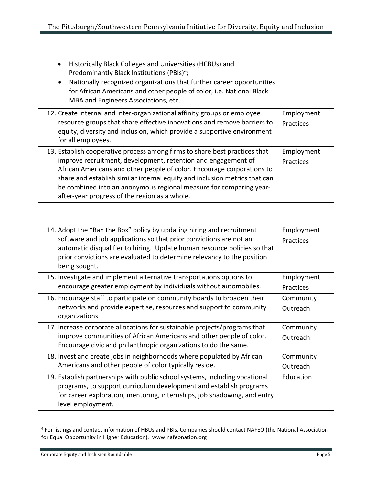| Historically Black Colleges and Universities (HCBUs) and<br>$\bullet$<br>Predominantly Black Institutions (PBIs) <sup>4</sup> ;<br>Nationally recognized organizations that further career opportunities<br>for African Americans and other people of color, i.e. National Black<br>MBA and Engineers Associations, etc.                                                                                                   |                                |
|----------------------------------------------------------------------------------------------------------------------------------------------------------------------------------------------------------------------------------------------------------------------------------------------------------------------------------------------------------------------------------------------------------------------------|--------------------------------|
| 12. Create internal and inter-organizational affinity groups or employee<br>resource groups that share effective innovations and remove barriers to<br>equity, diversity and inclusion, which provide a supportive environment<br>for all employees.                                                                                                                                                                       | Employment<br>Practices        |
| 13. Establish cooperative process among firms to share best practices that<br>improve recruitment, development, retention and engagement of<br>African Americans and other people of color. Encourage corporations to<br>share and establish similar internal equity and inclusion metrics that can<br>be combined into an anonymous regional measure for comparing year-<br>after-year progress of the region as a whole. | Employment<br><b>Practices</b> |

| 14. Adopt the "Ban the Box" policy by updating hiring and recruitment<br>software and job applications so that prior convictions are not an<br>automatic disqualifier to hiring. Update human resource policies so that<br>prior convictions are evaluated to determine relevancy to the position<br>being sought. | Employment<br>Practices |
|--------------------------------------------------------------------------------------------------------------------------------------------------------------------------------------------------------------------------------------------------------------------------------------------------------------------|-------------------------|
| 15. Investigate and implement alternative transportations options to<br>encourage greater employment by individuals without automobiles.                                                                                                                                                                           | Employment<br>Practices |
| 16. Encourage staff to participate on community boards to broaden their<br>networks and provide expertise, resources and support to community<br>organizations.                                                                                                                                                    | Community<br>Outreach   |
| 17. Increase corporate allocations for sustainable projects/programs that<br>improve communities of African Americans and other people of color.<br>Encourage civic and philanthropic organizations to do the same.                                                                                                | Community<br>Outreach   |
| 18. Invest and create jobs in neighborhoods where populated by African<br>Americans and other people of color typically reside.                                                                                                                                                                                    | Community<br>Outreach   |
| 19. Establish partnerships with public school systems, including vocational<br>programs, to support curriculum development and establish programs<br>for career exploration, mentoring, internships, job shadowing, and entry<br>level employment.                                                                 | Education               |

l 4 For listings and contact information of HBUs and PBIs, Companies should contact NAFEO (the National Association for Equal Opportunity in Higher Education). www.nafeonation.org

Corporate Equity and Inclusion Roundtable **Page 5**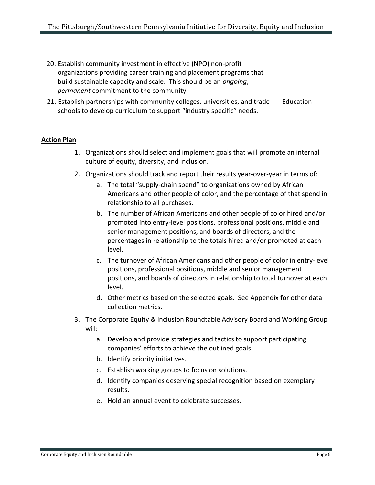| 20. Establish community investment in effective (NPO) non-profit<br>organizations providing career training and placement programs that<br>build sustainable capacity and scale. This should be an ongoing,<br>permanent commitment to the community. |           |
|-------------------------------------------------------------------------------------------------------------------------------------------------------------------------------------------------------------------------------------------------------|-----------|
| 21. Establish partnerships with community colleges, universities, and trade<br>schools to develop curriculum to support "industry specific" needs.                                                                                                    | Education |

### **Action Plan**

- 1. Organizations should select and implement goals that will promote an internal culture of equity, diversity, and inclusion.
- 2. Organizations should track and report their results year-over-year in terms of:
	- a. The total "supply-chain spend" to organizations owned by African Americans and other people of color, and the percentage of that spend in relationship to all purchases.
	- b. The number of African Americans and other people of color hired and/or promoted into entry-level positions, professional positions, middle and senior management positions, and boards of directors, and the percentages in relationship to the totals hired and/or promoted at each level.
	- c. The turnover of African Americans and other people of color in entry-level positions, professional positions, middle and senior management positions, and boards of directors in relationship to total turnover at each level.
	- d. Other metrics based on the selected goals. See Appendix for other data collection metrics.
- 3. The Corporate Equity & Inclusion Roundtable Advisory Board and Working Group will:
	- a. Develop and provide strategies and tactics to support participating companies' efforts to achieve the outlined goals.
	- b. Identify priority initiatives.
	- c. Establish working groups to focus on solutions.
	- d. Identify companies deserving special recognition based on exemplary results.
	- e. Hold an annual event to celebrate successes.